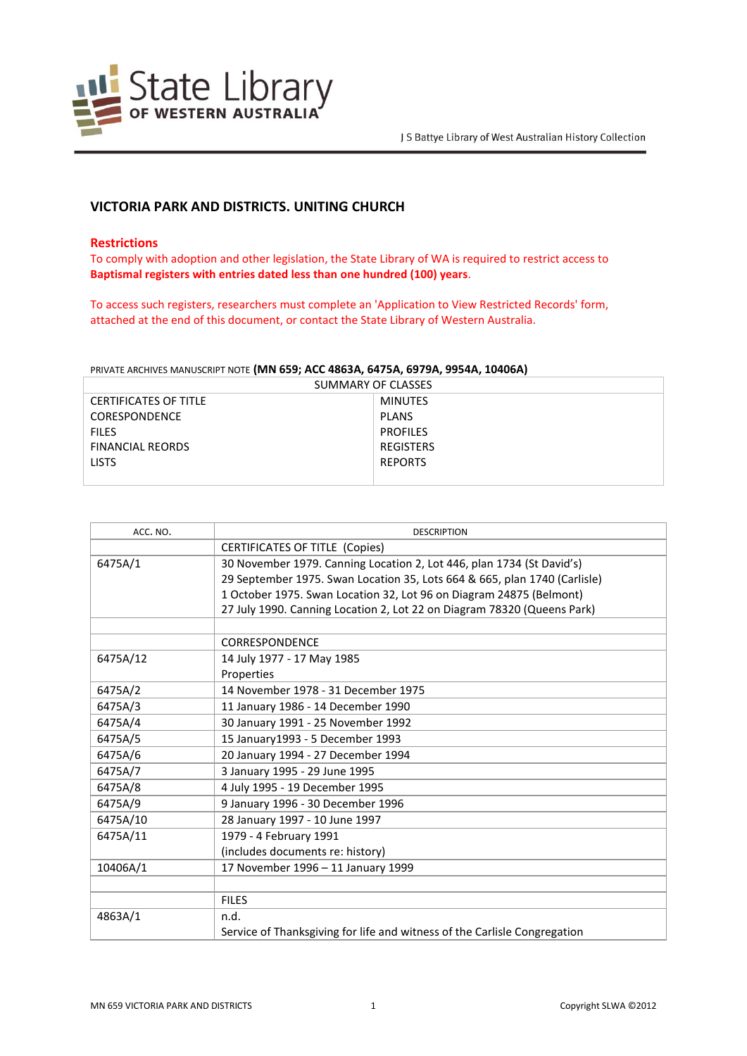

# **VICTORIA PARK AND DISTRICTS. UNITING CHURCH**

### **Restrictions**

To comply with adoption and other legislation, the State Library of WA is required to restrict access to **Baptismal registers with entries dated less than one hundred (100) years**.

To access such registers, researchers must complete an 'Application to View Restricted Records' form, attached at the end of this document, or contact the State Library of Western Australia.

#### PRIVATE ARCHIVES MANUSCRIPT NOTE **(MN 659; ACC 4863A, 6475A, 6979A, 9954A, 10406A)**

| SUMMARY OF CLASSES           |                  |  |
|------------------------------|------------------|--|
| <b>CERTIFICATES OF TITLE</b> | <b>MINUTES</b>   |  |
| <b>CORESPONDENCE</b>         | <b>PLANS</b>     |  |
| <b>FILES</b>                 | <b>PROFILES</b>  |  |
| <b>FINANCIAL REORDS</b>      | <b>REGISTERS</b> |  |
| <b>LISTS</b>                 | <b>REPORTS</b>   |  |
|                              |                  |  |

| ACC. NO. | <b>DESCRIPTION</b>                                                        |
|----------|---------------------------------------------------------------------------|
|          | <b>CERTIFICATES OF TITLE (Copies)</b>                                     |
| 6475A/1  | 30 November 1979. Canning Location 2, Lot 446, plan 1734 (St David's)     |
|          | 29 September 1975. Swan Location 35, Lots 664 & 665, plan 1740 (Carlisle) |
|          | 1 October 1975. Swan Location 32, Lot 96 on Diagram 24875 (Belmont)       |
|          | 27 July 1990. Canning Location 2, Lot 22 on Diagram 78320 (Queens Park)   |
|          |                                                                           |
|          | CORRESPONDENCE                                                            |
| 6475A/12 | 14 July 1977 - 17 May 1985                                                |
|          | Properties                                                                |
| 6475A/2  | 14 November 1978 - 31 December 1975                                       |
| 6475A/3  | 11 January 1986 - 14 December 1990                                        |
| 6475A/4  | 30 January 1991 - 25 November 1992                                        |
| 6475A/5  | 15 January 1993 - 5 December 1993                                         |
| 6475A/6  | 20 January 1994 - 27 December 1994                                        |
| 6475A/7  | 3 January 1995 - 29 June 1995                                             |
| 6475A/8  | 4 July 1995 - 19 December 1995                                            |
| 6475A/9  | 9 January 1996 - 30 December 1996                                         |
| 6475A/10 | 28 January 1997 - 10 June 1997                                            |
| 6475A/11 | 1979 - 4 February 1991                                                    |
|          | (includes documents re: history)                                          |
| 10406A/1 | 17 November 1996 - 11 January 1999                                        |
|          |                                                                           |
|          | <b>FILES</b>                                                              |
| 4863A/1  | n.d.                                                                      |
|          | Service of Thanksgiving for life and witness of the Carlisle Congregation |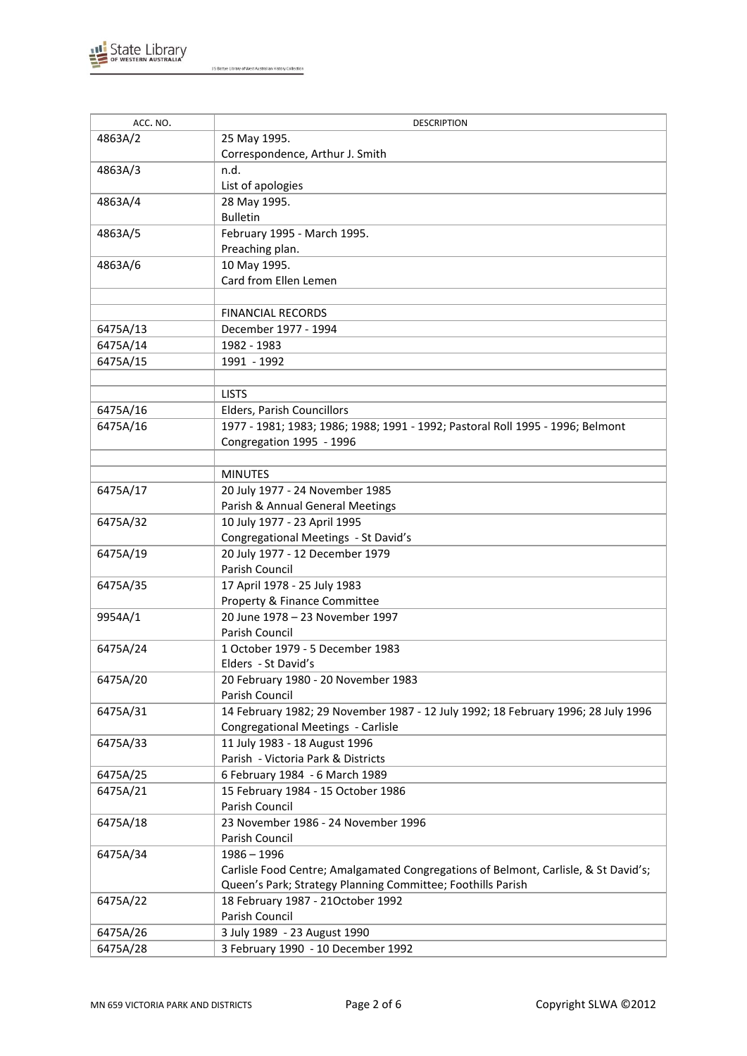

| ACC. NO. | <b>DESCRIPTION</b>                                                                  |
|----------|-------------------------------------------------------------------------------------|
| 4863A/2  | 25 May 1995.                                                                        |
|          | Correspondence, Arthur J. Smith                                                     |
| 4863A/3  | n.d.                                                                                |
|          | List of apologies                                                                   |
| 4863A/4  | 28 May 1995.                                                                        |
|          | <b>Bulletin</b>                                                                     |
| 4863A/5  | February 1995 - March 1995.                                                         |
|          | Preaching plan.                                                                     |
| 4863A/6  | 10 May 1995.                                                                        |
|          | Card from Ellen Lemen                                                               |
|          |                                                                                     |
|          |                                                                                     |
|          | <b>FINANCIAL RECORDS</b>                                                            |
| 6475A/13 | December 1977 - 1994                                                                |
| 6475A/14 | 1982 - 1983                                                                         |
| 6475A/15 | 1991 - 1992                                                                         |
|          |                                                                                     |
|          | <b>LISTS</b>                                                                        |
| 6475A/16 | Elders, Parish Councillors                                                          |
| 6475A/16 | 1977 - 1981; 1983; 1986; 1988; 1991 - 1992; Pastoral Roll 1995 - 1996; Belmont      |
|          | Congregation 1995 - 1996                                                            |
|          |                                                                                     |
|          | <b>MINUTES</b>                                                                      |
| 6475A/17 | 20 July 1977 - 24 November 1985                                                     |
|          | Parish & Annual General Meetings                                                    |
| 6475A/32 | 10 July 1977 - 23 April 1995                                                        |
|          | Congregational Meetings - St David's                                                |
| 6475A/19 | 20 July 1977 - 12 December 1979                                                     |
|          | Parish Council                                                                      |
| 6475A/35 | 17 April 1978 - 25 July 1983                                                        |
|          | Property & Finance Committee                                                        |
| 9954A/1  | 20 June 1978 - 23 November 1997                                                     |
|          | Parish Council                                                                      |
| 6475A/24 | 1 October 1979 - 5 December 1983                                                    |
|          | Elders - St David's                                                                 |
| 6475A/20 | 20 February 1980 - 20 November 1983                                                 |
|          | Parish Council                                                                      |
| 6475A/31 | 14 February 1982; 29 November 1987 - 12 July 1992; 18 February 1996; 28 July 1996   |
|          | Congregational Meetings - Carlisle                                                  |
| 6475A/33 | 11 July 1983 - 18 August 1996                                                       |
|          | Parish - Victoria Park & Districts                                                  |
| 6475A/25 | 6 February 1984 - 6 March 1989                                                      |
| 6475A/21 | 15 February 1984 - 15 October 1986                                                  |
|          | Parish Council                                                                      |
| 6475A/18 | 23 November 1986 - 24 November 1996                                                 |
|          | Parish Council                                                                      |
| 6475A/34 | $1986 - 1996$                                                                       |
|          | Carlisle Food Centre; Amalgamated Congregations of Belmont, Carlisle, & St David's; |
|          | Queen's Park; Strategy Planning Committee; Foothills Parish                         |
| 6475A/22 | 18 February 1987 - 21October 1992                                                   |
|          | Parish Council                                                                      |
| 6475A/26 | 3 July 1989 - 23 August 1990                                                        |
| 6475A/28 | 3 February 1990 - 10 December 1992                                                  |
|          |                                                                                     |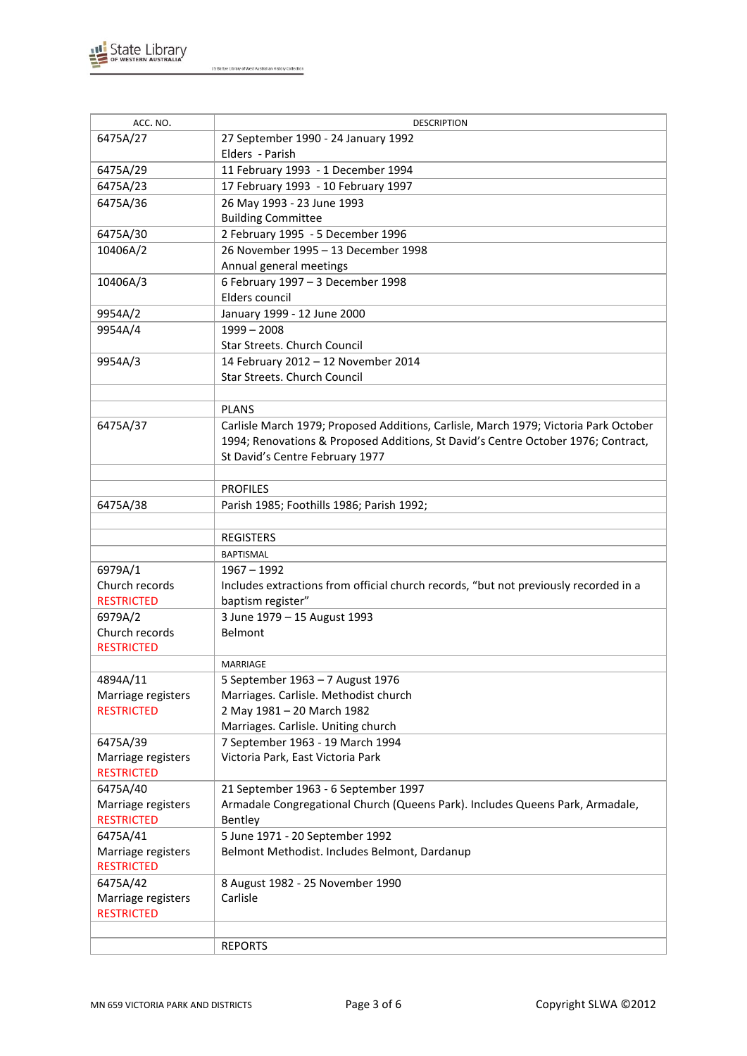

| ACC. NO.                      | <b>DESCRIPTION</b>                                                                   |
|-------------------------------|--------------------------------------------------------------------------------------|
| 6475A/27                      | 27 September 1990 - 24 January 1992                                                  |
|                               | Elders - Parish                                                                      |
| 6475A/29                      | 11 February 1993 - 1 December 1994                                                   |
| 6475A/23                      | 17 February 1993 - 10 February 1997                                                  |
| 6475A/36                      | 26 May 1993 - 23 June 1993                                                           |
|                               | <b>Building Committee</b>                                                            |
| 6475A/30                      | 2 February 1995 - 5 December 1996                                                    |
| 10406A/2                      | 26 November 1995 - 13 December 1998                                                  |
|                               | Annual general meetings                                                              |
| 10406A/3                      | 6 February 1997 - 3 December 1998                                                    |
|                               | Elders council                                                                       |
| 9954A/2                       | January 1999 - 12 June 2000                                                          |
| 9954A/4                       | $1999 - 2008$<br>Star Streets. Church Council                                        |
| 9954A/3                       | 14 February 2012 - 12 November 2014                                                  |
|                               | Star Streets. Church Council                                                         |
|                               |                                                                                      |
|                               | <b>PLANS</b>                                                                         |
| 6475A/37                      | Carlisle March 1979; Proposed Additions, Carlisle, March 1979; Victoria Park October |
|                               | 1994; Renovations & Proposed Additions, St David's Centre October 1976; Contract,    |
|                               | St David's Centre February 1977                                                      |
|                               |                                                                                      |
|                               | <b>PROFILES</b>                                                                      |
| 6475A/38                      | Parish 1985; Foothills 1986; Parish 1992;                                            |
|                               |                                                                                      |
|                               | <b>REGISTERS</b>                                                                     |
|                               | <b>BAPTISMAL</b>                                                                     |
| 6979A/1                       | $1967 - 1992$                                                                        |
| Church records                | Includes extractions from official church records, "but not previously recorded in a |
| <b>RESTRICTED</b>             | baptism register"                                                                    |
| 6979A/2<br>Church records     | 3 June 1979 - 15 August 1993<br><b>Belmont</b>                                       |
| <b>RESTRICTED</b>             |                                                                                      |
|                               | MARRIAGE                                                                             |
| 4894A/11                      | 5 September 1963 - 7 August 1976                                                     |
| Marriage registers            | Marriages. Carlisle. Methodist church                                                |
| <b>RESTRICTED</b>             | 2 May 1981 - 20 March 1982                                                           |
|                               | Marriages. Carlisle. Uniting church                                                  |
| 6475A/39                      | 7 September 1963 - 19 March 1994                                                     |
| Marriage registers            | Victoria Park, East Victoria Park                                                    |
| <b>RESTRICTED</b>             |                                                                                      |
| 6475A/40                      | 21 September 1963 - 6 September 1997                                                 |
| Marriage registers            | Armadale Congregational Church (Queens Park). Includes Queens Park, Armadale,        |
| <b>RESTRICTED</b><br>6475A/41 | Bentley<br>5 June 1971 - 20 September 1992                                           |
| Marriage registers            | Belmont Methodist. Includes Belmont, Dardanup                                        |
| <b>RESTRICTED</b>             |                                                                                      |
| 6475A/42                      | 8 August 1982 - 25 November 1990                                                     |
| Marriage registers            | Carlisle                                                                             |
| <b>RESTRICTED</b>             |                                                                                      |
|                               |                                                                                      |
|                               | <b>REPORTS</b>                                                                       |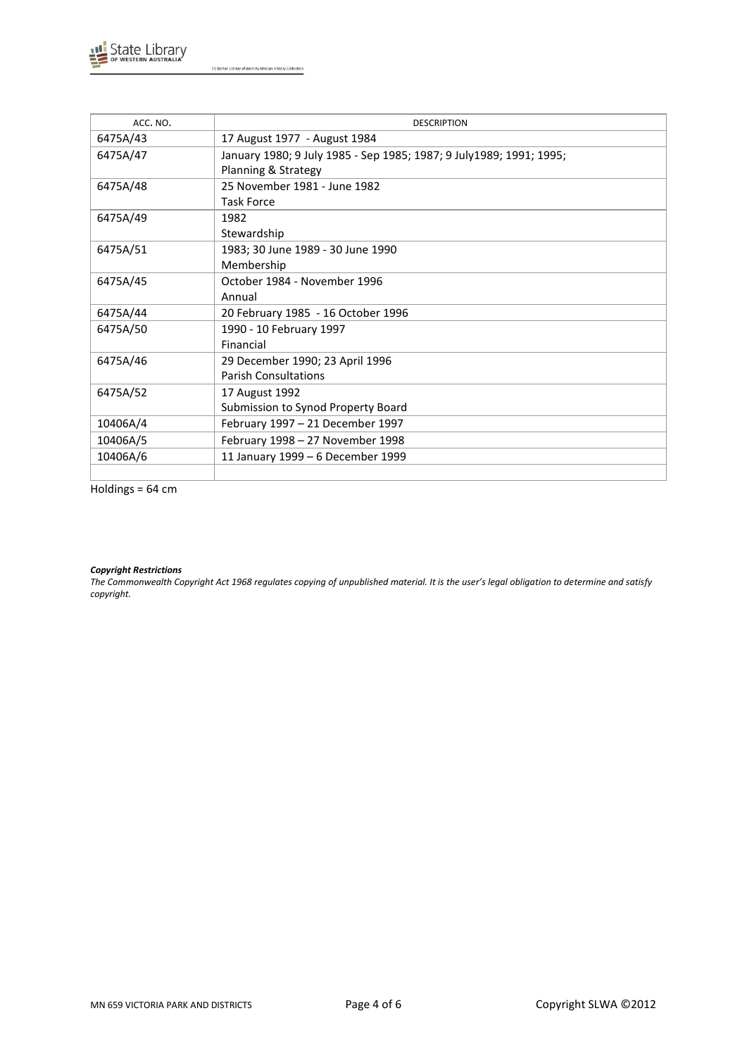

| ACC. NO. | <b>DESCRIPTION</b>                                                   |
|----------|----------------------------------------------------------------------|
| 6475A/43 | 17 August 1977 - August 1984                                         |
| 6475A/47 | January 1980; 9 July 1985 - Sep 1985; 1987; 9 July 1989; 1991; 1995; |
|          | Planning & Strategy                                                  |
| 6475A/48 | 25 November 1981 - June 1982                                         |
|          | Task Force                                                           |
| 6475A/49 | 1982                                                                 |
|          | Stewardship                                                          |
| 6475A/51 | 1983; 30 June 1989 - 30 June 1990                                    |
|          | Membership                                                           |
| 6475A/45 | October 1984 - November 1996                                         |
|          | Annual                                                               |
| 6475A/44 | 20 February 1985 - 16 October 1996                                   |
| 6475A/50 | 1990 - 10 February 1997                                              |
|          | Financial                                                            |
| 6475A/46 | 29 December 1990; 23 April 1996                                      |
|          | <b>Parish Consultations</b>                                          |
| 6475A/52 | 17 August 1992                                                       |
|          | Submission to Synod Property Board                                   |
| 10406A/4 | February 1997 - 21 December 1997                                     |
| 10406A/5 | February 1998 - 27 November 1998                                     |
| 10406A/6 | 11 January 1999 - 6 December 1999                                    |
|          |                                                                      |

Holdings = 64 cm

#### *Copyright Restrictions*

*The Commonwealth Copyright Act 1968 regulates copying of unpublished material. It is the user's legal obligation to determine and satisfy copyright.*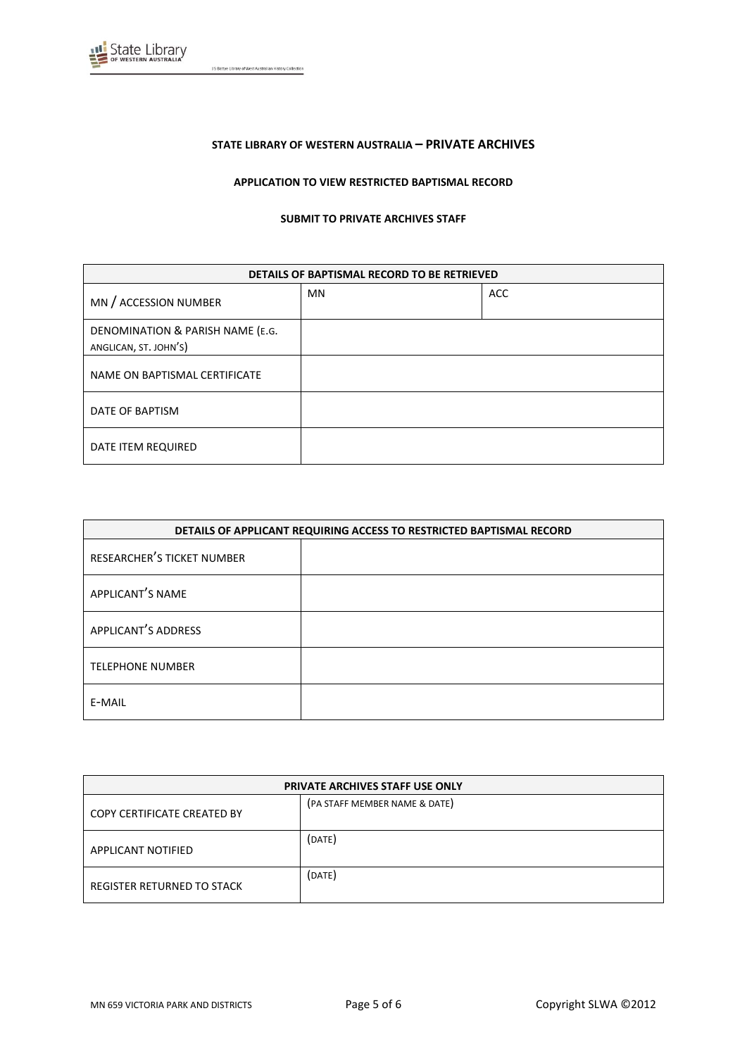

## **STATE LIBRARY OF WESTERN AUSTRALIA – PRIVATE ARCHIVES**

#### **APPLICATION TO VIEW RESTRICTED BAPTISMAL RECORD**

#### **SUBMIT TO PRIVATE ARCHIVES STAFF**

| DETAILS OF BAPTISMAL RECORD TO BE RETRIEVED               |           |            |
|-----------------------------------------------------------|-----------|------------|
| MN / ACCESSION NUMBER                                     | <b>MN</b> | <b>ACC</b> |
| DENOMINATION & PARISH NAME (E.G.<br>ANGLICAN, ST. JOHN'S) |           |            |
| NAME ON BAPTISMAL CERTIFICATE                             |           |            |
| DATE OF BAPTISM                                           |           |            |
| DATE ITEM REQUIRED                                        |           |            |

| DETAILS OF APPLICANT REQUIRING ACCESS TO RESTRICTED BAPTISMAL RECORD |  |
|----------------------------------------------------------------------|--|
| RESEARCHER'S TICKET NUMBER                                           |  |
| APPLICANT'S NAME                                                     |  |
| APPLICANT'S ADDRESS                                                  |  |
| <b>TELEPHONE NUMBER</b>                                              |  |
| E-MAIL                                                               |  |

| <b>PRIVATE ARCHIVES STAFF USE ONLY</b> |                               |  |
|----------------------------------------|-------------------------------|--|
| COPY CERTIFICATE CREATED BY            | (PA STAFF MEMBER NAME & DATE) |  |
| APPLICANT NOTIFIED                     | (DATE)                        |  |
| REGISTER RETURNED TO STACK             | (DATE)                        |  |